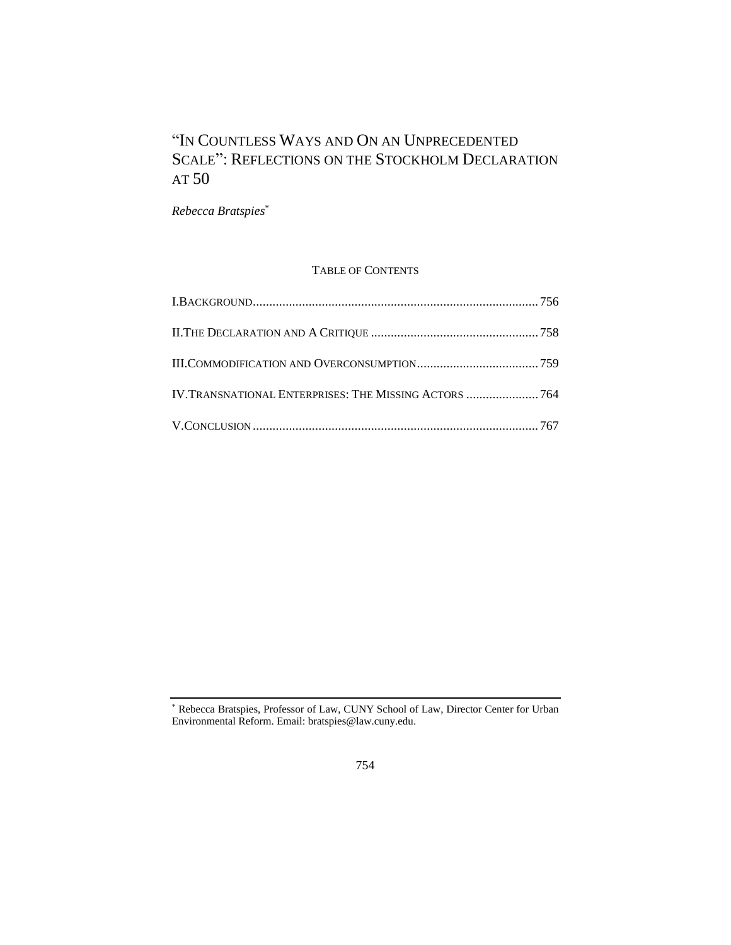# "IN COUNTLESS WAYS AND ON AN UNPRECEDENTED SCALE": REFLECTIONS ON THE STOCKHOLM DECLARATION AT 50

*Rebecca Bratspies*\*

# TABLE OF CONTENTS

| IV.TRANSNATIONAL ENTERPRISES: THE MISSING ACTORS  764 |  |
|-------------------------------------------------------|--|
|                                                       |  |

<sup>\*</sup> Rebecca Bratspies, Professor of Law, CUNY School of Law, Director Center for Urban Environmental Reform. Email: bratspies@law.cuny.edu.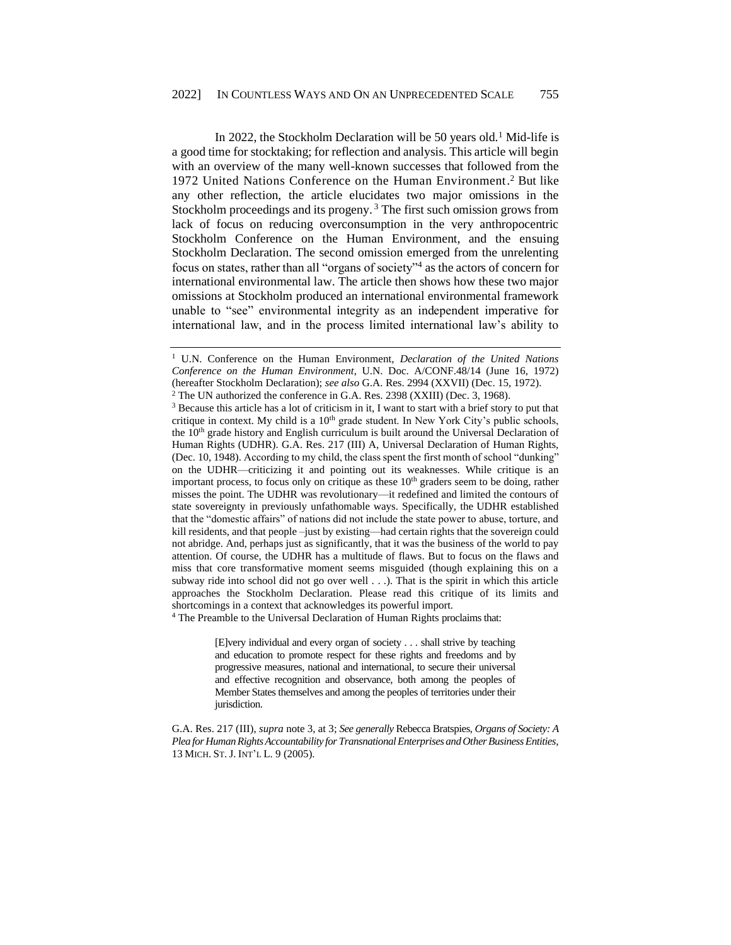<span id="page-1-0"></span>In 2022, the Stockholm Declaration will be 50 years old.<sup>1</sup> Mid-life is a good time for stocktaking; for reflection and analysis. This article will begin with an overview of the many well-known successes that followed from the 1972 United Nations Conference on the Human Environment. <sup>2</sup> But like any other reflection, the article elucidates two major omissions in the Stockholm proceedings and its progeny. <sup>3</sup> The first such omission grows from lack of focus on reducing overconsumption in the very anthropocentric Stockholm Conference on the Human Environment, and the ensuing Stockholm Declaration. The second omission emerged from the unrelenting focus on states, rather than all "organs of society"<sup>4</sup> as the actors of concern for international environmental law. The article then shows how these two major omissions at Stockholm produced an international environmental framework unable to "see" environmental integrity as an independent imperative for international law, and in the process limited international law's ability to

<sup>4</sup> The Preamble to the Universal Declaration of Human Rights proclaims that:

[E]very individual and every organ of society . . . shall strive by teaching and education to promote respect for these rights and freedoms and by progressive measures, national and international, to secure their universal and effective recognition and observance, both among the peoples of Member States themselves and among the peoples of territories under their jurisdiction.

<sup>1</sup> U.N. Conference on the Human Environment, *Declaration of the United Nations Conference on the Human Environment*, U.N. Doc. A/CONF.48/14 (June 16, 1972) (hereafter Stockholm Declaration); *see also* G.A. Res. 2994 (XXVII) (Dec. 15, 1972).

<sup>2</sup> The UN authorized the conference in G.A. Res. 2398 (XXIII) (Dec. 3, 1968).

<sup>&</sup>lt;sup>3</sup> Because this article has a lot of criticism in it, I want to start with a brief story to put that critique in context. My child is a 10<sup>th</sup> grade student. In New York City's public schools, the 10<sup>th</sup> grade history and English curriculum is built around the Universal Declaration of Human Rights (UDHR). G.A. Res. 217 (III) A, Universal Declaration of Human Rights, (Dec. 10, 1948). According to my child, the class spent the first month of school "dunking" on the UDHR—criticizing it and pointing out its weaknesses. While critique is an important process, to focus only on critique as these  $10<sup>th</sup>$  graders seem to be doing, rather misses the point. The UDHR was revolutionary—it redefined and limited the contours of state sovereignty in previously unfathomable ways. Specifically, the UDHR established that the "domestic affairs" of nations did not include the state power to abuse, torture, and kill residents, and that people –just by existing—had certain rights that the sovereign could not abridge. And, perhaps just as significantly, that it was the business of the world to pay attention. Of course, the UDHR has a multitude of flaws. But to focus on the flaws and miss that core transformative moment seems misguided (though explaining this on a subway ride into school did not go over well . . .). That is the spirit in which this article approaches the Stockholm Declaration. Please read this critique of its limits and shortcomings in a context that acknowledges its powerful import.

G.A. Res. 217 (III), *supra* note 3, at 3; *See generally* Rebecca Bratspies, *Organs of Society: A Plea for Human Rights Accountability for Transnational Enterprises and Other Business Entities*, 13 MICH. ST.J. INT'L L. 9 (2005).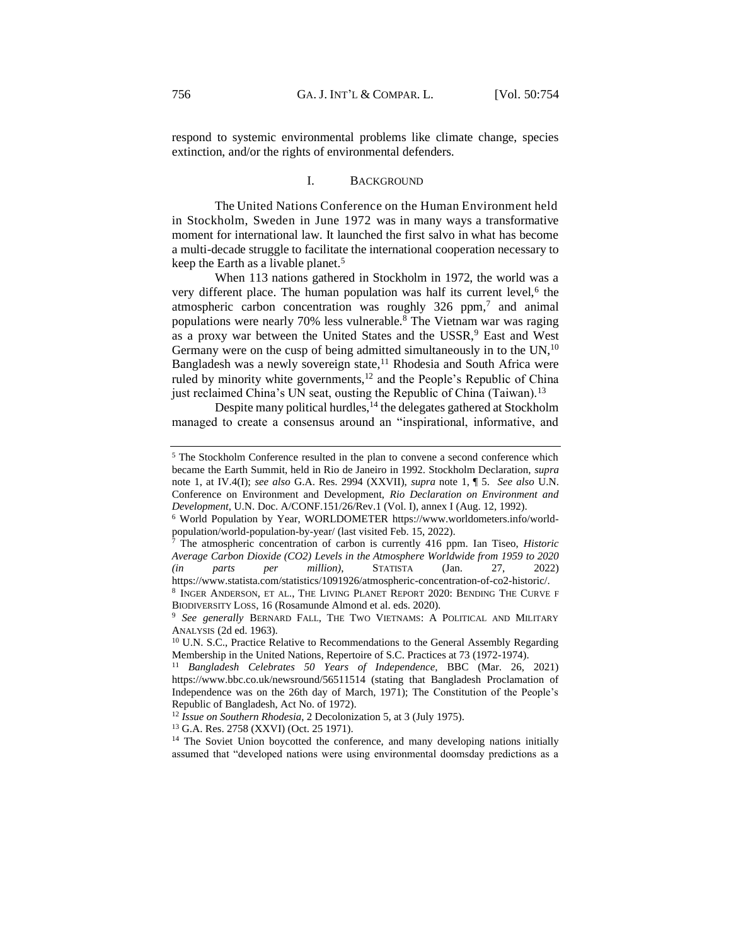respond to systemic environmental problems like climate change, species extinction, and/or the rights of environmental defenders.

## I. BACKGROUND

<span id="page-2-0"></span>The United Nations Conference on the Human Environment held in Stockholm, Sweden in June 1972 was in many ways a transformative moment for international law. It launched the first salvo in what has become a multi-decade struggle to facilitate the international cooperation necessary to keep the Earth as a livable planet.<sup>5</sup>

When 113 nations gathered in Stockholm in 1972, the world was a very different place. The human population was half its current level,<sup>6</sup> the atmospheric carbon concentration was roughly 326 ppm,<sup>7</sup> and animal populations were nearly 70% less vulnerable.<sup>8</sup> The Vietnam war was raging as a proxy war between the United States and the USSR,<sup>9</sup> East and West Germany were on the cusp of being admitted simultaneously in to the  $UN<sub>10</sub>$ <sup>10</sup> Bangladesh was a newly sovereign state,<sup>11</sup> Rhodesia and South Africa were ruled by minority white governments,<sup>12</sup> and the People's Republic of China just reclaimed China's UN seat, ousting the Republic of China (Taiwan).<sup>13</sup>

Despite many political hurdles,<sup>14</sup> the delegates gathered at Stockholm managed to create a consensus around an "inspirational, informative, and

<sup>13</sup> G.A. Res. 2758 (XXVI) (Oct. 25 1971).

<sup>14</sup> The Soviet Union boycotted the conference, and many developing nations initially assumed that "developed nations were using environmental doomsday predictions as a

<sup>5</sup> The Stockholm Conference resulted in the plan to convene a second conference which became the Earth Summit, held in Rio de Janeiro in 1992. Stockholm Declaration, *supra*  note 1, at IV.4(I); *see also* G.A. Res. 2994 (XXVII), *supra* note 1, ¶ 5. *See also* U.N. Conference on Environment and Development, *Rio Declaration on Environment and Development*, U.N. Doc. A/CONF.151/26/Rev.1 (Vol. I), annex I (Aug. 12, 1992).

<sup>6</sup> World Population by Year, WORLDOMETER [https://www.worldometers.info/world](https://www.worldometers.info/world-population/world-population-by-year/)[population/world-population-by-year/](https://www.worldometers.info/world-population/world-population-by-year/) (last visited Feb. 15, 2022).

<sup>7</sup> The atmospheric concentration of carbon is currently 416 ppm. Ian Tiseo, *Historic Average Carbon Dioxide (CO2) Levels in the Atmosphere Worldwide from 1959 to 2020 (in parts per million)*, STATISTA (Jan. 27, 2022) https://www.statista.com/statistics/1091926/atmospheric-concentration-of-co2-historic/.

<sup>8</sup> INGER ANDERSON, ET AL., THE LIVING PLANET REPORT 2020: BENDING THE CURVE F BIODIVERSITY LOSS, 16 (Rosamunde Almond et al. eds. 2020).

<sup>9</sup> *See generally* BERNARD FALL, THE TWO VIETNAMS: A POLITICAL AND MILITARY ANALYSIS (2d ed. 1963).

<sup>&</sup>lt;sup>10</sup> U.N. S.C., Practice Relative to Recommendations to the General Assembly Regarding Membership in the United Nations, Repertoire of S.C. Practices at 73 (1972-1974).

<sup>11</sup> *Bangladesh Celebrates 50 Years of Independence,* BBC (Mar. 26, 2021) https://www.bbc.co.uk/newsround/56511514 (stating that Bangladesh Proclamation of Independence was on the 26th day of March, 1971); The Constitution of the People's Republic of Bangladesh, Act No. of 1972).

<sup>12</sup> *Issue on Southern Rhodesia*, 2 Decolonization 5, at 3 (July 1975).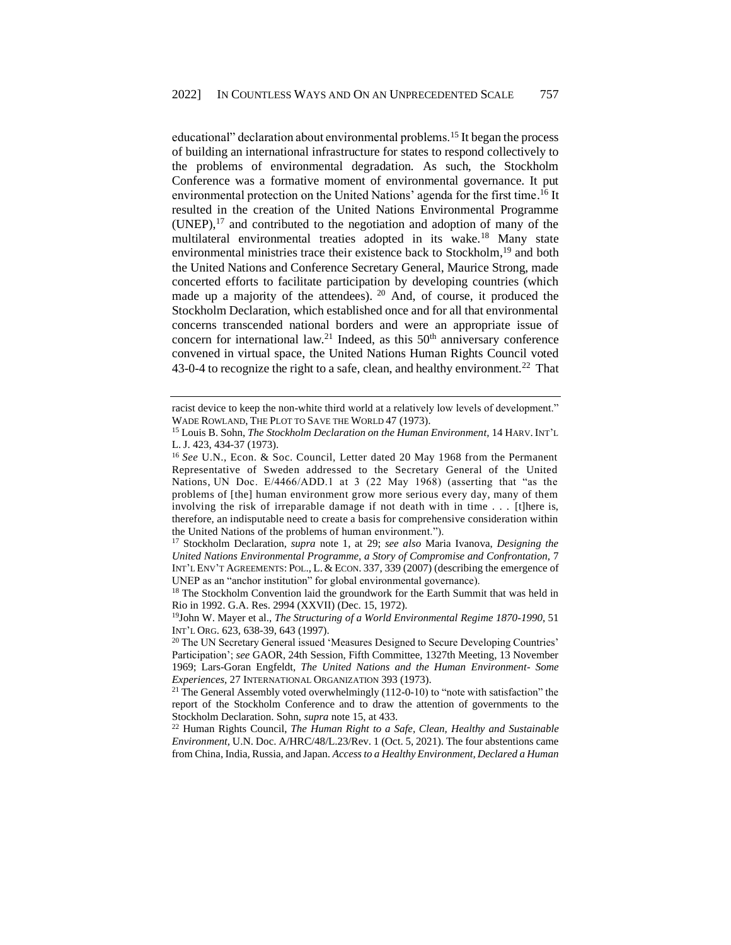educational" declaration about environmental problems.<sup>15</sup> It began the process of building an international infrastructure for states to respond collectively to the problems of environmental degradation. As such, the Stockholm Conference was a formative moment of environmental governance. It put environmental protection on the United Nations' agenda for the first time.<sup>16</sup> It resulted in the creation of the United Nations Environmental Programme  $(UNEP)$ ,  $^{17}$  and contributed to the negotiation and adoption of many of the multilateral environmental treaties adopted in its wake.<sup>18</sup> Many state environmental ministries trace their existence back to Stockholm,<sup>19</sup> and both the United Nations and Conference Secretary General, Maurice Strong, made concerted efforts to facilitate participation by developing countries (which made up a majority of the attendees). <sup>20</sup> And, of course, it produced the Stockholm Declaration, which established once and for all that environmental concerns transcended national borders and were an appropriate issue of concern for international law.<sup>21</sup> Indeed, as this  $50<sup>th</sup>$  anniversary conference convened in virtual space, the United Nations Human Rights Council voted 43-0-4 to recognize the right to a safe, clean, and healthy environment.<sup>22</sup> That

racist device to keep the non-white third world at a relatively low levels of development." WADE ROWLAND, THE PLOT TO SAVE THE WORLD 47 (1973).

<sup>15</sup> Louis B. Sohn, *The Stockholm Declaration on the Human Environment,* 14 HARV. INT'L L. J. 423, 434-37 (1973).

<sup>16</sup> *See* U.N., Econ. & Soc. Council, Letter dated 20 May 1968 from the Permanent Representative of Sweden addressed to the Secretary General of the United Nations, UN Doc. E/4466/ADD.1 at 3 (22 May 1968) (asserting that "as the problems of [the] human environment grow more serious every day, many of them involving the risk of irreparable damage if not death with in time . . . [t]here is, therefore, an indisputable need to create a basis for comprehensive consideration within the United Nations of the problems of human environment.").

<sup>17</sup> Stockholm Declaration, *supra* note 1, at 29; *see also* Maria Ivanova, *Designing the United Nations Environmental Programme, a Story of Compromise and Confrontation,* 7 INT'L ENV'T AGREEMENTS: POL., L. & ECON. 337, 339 (2007) (describing the emergence of UNEP as an "anchor institution" for global environmental governance).

<sup>&</sup>lt;sup>18</sup> The Stockholm Convention laid the groundwork for the Earth Summit that was held in Rio in 1992. G.A. Res. 2994 (XXVII) (Dec. 15, 1972).

<sup>19</sup>John W. Mayer et al., *The Structuring of a World Environmental Regime 1870-1990*, 51 INT'L ORG. 623, 638-39, 643 (1997).

<sup>20</sup> The UN Secretary General issued 'Measures Designed to Secure Developing Countries' Participation'; *see* GAOR, 24th Session, Fifth Committee, 1327th Meeting, 13 November 1969; Lars-Goran Engfeldt, *The United Nations and the Human Environment- Some Experiences,* 27 INTERNATIONAL ORGANIZATION 393 (1973).

<sup>&</sup>lt;sup>21</sup> The General Assembly voted overwhelmingly (112-0-10) to "note with satisfaction" the report of the Stockholm Conference and to draw the attention of governments to the Stockholm Declaration. Sohn, *supra* note 15, at 433.

<sup>22</sup> Human Rights Council, *The Human Right to a Safe, Clean, Healthy and Sustainable Environment,* U.N. Doc. A/HRC/48/L.23/Rev. 1 (Oct. 5, 2021). The four abstentions came from China, India, Russia, and Japan. *Access to a Healthy Environment, Declared a Human*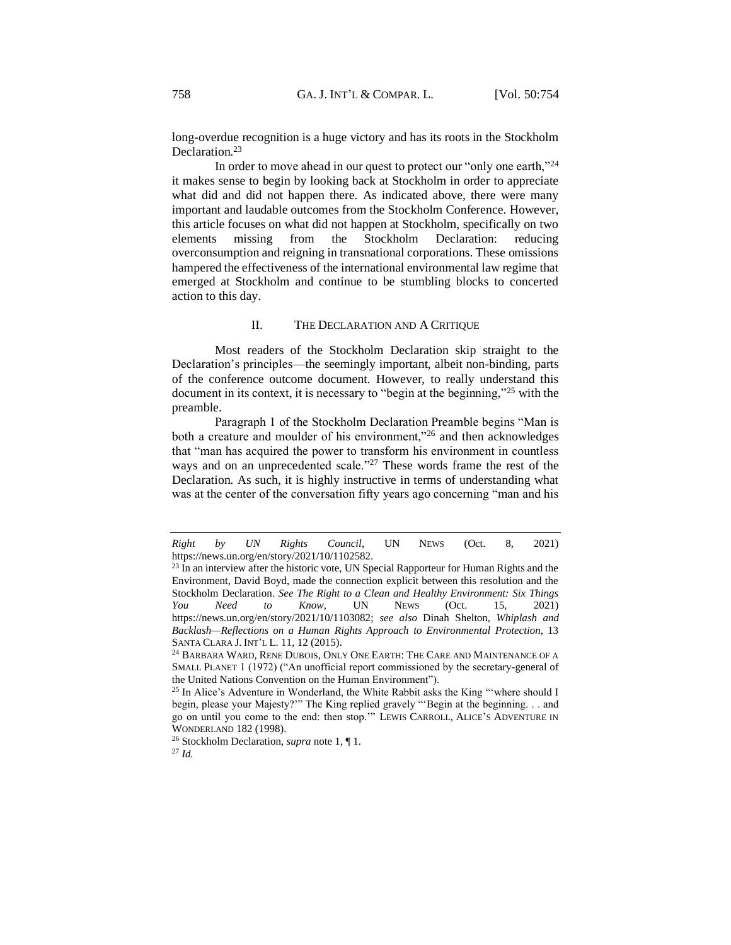long-overdue recognition is a huge victory and has its roots in the Stockholm Declaration.<sup>23</sup>

In order to move ahead in our quest to protect our "only one earth,"<sup>24</sup> it makes sense to begin by looking back at Stockholm in order to appreciate what did and did not happen there. As indicated above, there were many important and laudable outcomes from the Stockholm Conference. However, this article focuses on what did not happen at Stockholm, specifically on two elements missing from the Stockholm Declaration: reducing overconsumption and reigning in transnational corporations. These omissions hampered the effectiveness of the international environmental law regime that emerged at Stockholm and continue to be stumbling blocks to concerted action to this day.

#### II. THE DECLARATION AND A CRITIQUE

<span id="page-4-0"></span>Most readers of the Stockholm Declaration skip straight to the Declaration's principles—the seemingly important, albeit non-binding, parts of the conference outcome document. However, to really understand this document in its context, it is necessary to "begin at the beginning,"<sup>25</sup> with the preamble.

Paragraph 1 of the Stockholm Declaration Preamble begins "Man is both a creature and moulder of his environment,"<sup>26</sup> and then acknowledges that "man has acquired the power to transform his environment in countless ways and on an unprecedented scale."<sup>27</sup> These words frame the rest of the Declaration. As such, it is highly instructive in terms of understanding what was at the center of the conversation fifty years ago concerning "man and his

*Right by UN Rights Council*, UN NEWS (Oct. 8, 2021) https://news.un.org/en/story/2021/10/1102582.

<sup>&</sup>lt;sup>23</sup> In an interview after the historic vote, UN Special Rapporteur for Human Rights and the Environment, David Boyd, made the connection explicit between this resolution and the Stockholm Declaration. *See The Right to a Clean and Healthy Environment: Six Things You Need to Know*, UN NEWS (Oct. 15, 2021) https://news.un.org/en/story/2021/10/1103082; *see also* Dinah Shelton, *Whiplash and*  Backlash—Reflections on a Human Rights Approach to Environmental Protection, 13 SANTA CLARA J. INT'L L. 11, 12 (2015).

<sup>&</sup>lt;sup>24</sup> BARBARA WARD, RENE DUBOIS, ONLY ONE EARTH: THE CARE AND MAINTENANCE OF A SMALL PLANET 1 (1972) ("An unofficial report commissioned by the secretary-general of the United Nations Convention on the Human Environment").

<sup>&</sup>lt;sup>25</sup> In Alice's Adventure in Wonderland, the White Rabbit asks the King "where should I begin, please your Majesty?'" The King replied gravely "'Begin at the beginning. . . and go on until you come to the end: then stop.'" LEWIS CARROLL, ALICE'S ADVENTURE IN WONDERLAND 182 (1998).

<sup>26</sup> Stockholm Declaration, *supra* not[e 1,](#page-1-0) ¶ 1.

<sup>27</sup> *Id.*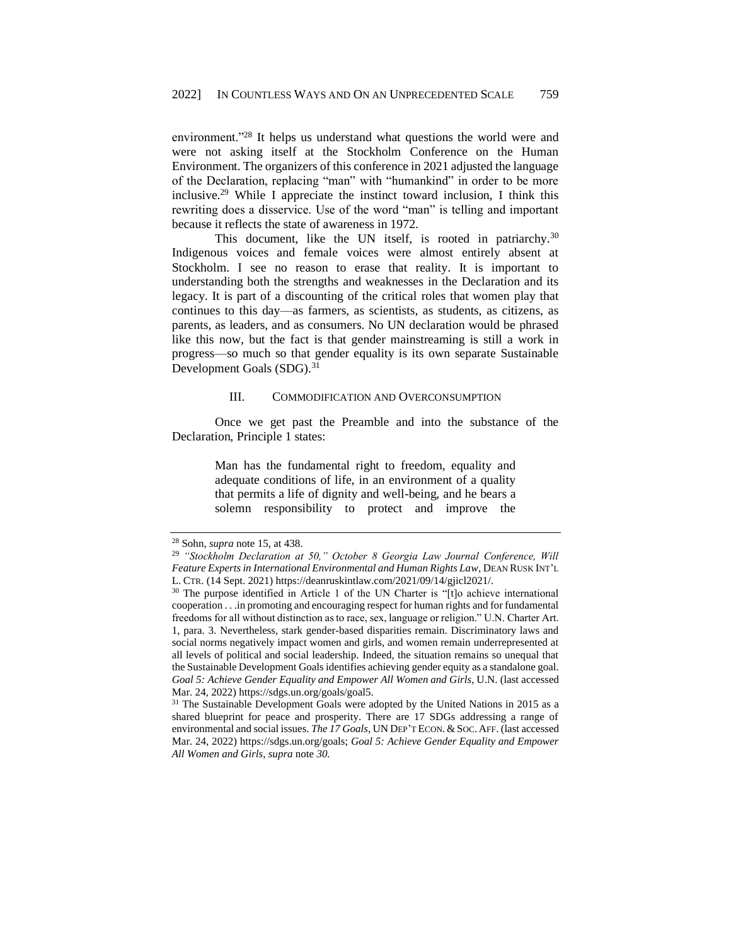environment."<sup>28</sup> It helps us understand what questions the world were and were not asking itself at the Stockholm Conference on the Human Environment. The organizers of this conference in 2021 adjusted the language of the Declaration, replacing "man" with "humankind" in order to be more inclusive.<sup>29</sup> While I appreciate the instinct toward inclusion, I think this rewriting does a disservice. Use of the word "man" is telling and important because it reflects the state of awareness in 1972.

This document, like the UN itself, is rooted in patriarchy.<sup>30</sup> Indigenous voices and female voices were almost entirely absent at Stockholm. I see no reason to erase that reality. It is important to understanding both the strengths and weaknesses in the Declaration and its legacy. It is part of a discounting of the critical roles that women play that continues to this day—as farmers, as scientists, as students, as citizens, as parents, as leaders, and as consumers. No UN declaration would be phrased like this now, but the fact is that gender mainstreaming is still a work in progress—so much so that gender equality is its own separate Sustainable Development Goals (SDG).<sup>31</sup>

#### III. COMMODIFICATION AND OVERCONSUMPTION

<span id="page-5-0"></span>Once we get past the Preamble and into the substance of the Declaration, Principle 1 states:

> Man has the fundamental right to freedom, equality and adequate conditions of life, in an environment of a quality that permits a life of dignity and well-being, and he bears a solemn responsibility to protect and improve the

<sup>28</sup> Sohn, *supra* note 15, at 438.

<sup>29</sup> *"Stockholm Declaration at 50," October 8 Georgia Law Journal Conference, Will Feature Experts in International Environmental and Human Rights Law, DEAN RUSK INT'L* L. CTR. (14 Sept. 2021) https://deanruskintlaw.com/2021/09/14/gjicl2021/.

<sup>&</sup>lt;sup>30</sup> The purpose identified in Article 1 of the UN Charter is "[t]o achieve international cooperation . . .in promoting and encouraging respect for human rights and for fundamental freedoms for all without distinction as to race, sex, language or religion." U.N. Charter Art. 1, para. 3. Nevertheless, stark gender-based disparities remain. Discriminatory laws and social norms negatively impact women and girls, and women remain underrepresented at all levels of political and social leadership. Indeed, the situation remains so unequal that the Sustainable Development Goals identifies achieving gender equity as a standalone goal. *Goal 5: Achieve Gender Equality and Empower All Women and Girls*, U.N. (last accessed Mar. 24, 2022) https://sdgs.un.org/goals/goal5.

<sup>&</sup>lt;sup>31</sup> The Sustainable Development Goals were adopted by the United Nations in 2015 as a shared blueprint for peace and prosperity. There are 17 SDGs addressing a range of environmental and social issues. *The 17 Goals*, UN DEP'T ECON. & SOC.AFF. (last accessed Mar. 24, 2022) [https://sdgs.un.org/goals;](https://sdgs.un.org/goals) *Goal 5: Achieve Gender Equality and Empower All Women and Girls*, *supra* note *30.*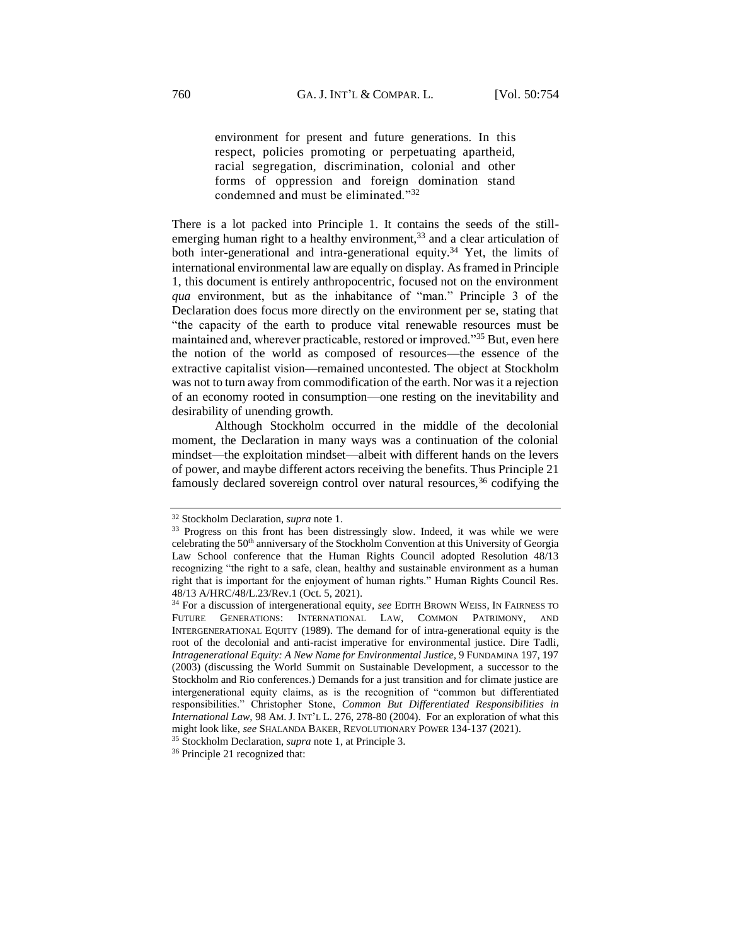environment for present and future generations. In this respect, policies promoting or perpetuating apartheid, racial segregation, discrimination, colonial and other forms of oppression and foreign domination stand condemned and must be eliminated."<sup>32</sup>

There is a lot packed into Principle 1. It contains the seeds of the stillemerging human right to a healthy environment,  $33$  and a clear articulation of both inter-generational and intra-generational equity.<sup>34</sup> Yet, the limits of international environmental law are equally on display. As framed in Principle 1, this document is entirely anthropocentric, focused not on the environment *qua* environment, but as the inhabitance of "man." Principle 3 of the Declaration does focus more directly on the environment per se, stating that "the capacity of the earth to produce vital renewable resources must be maintained and, wherever practicable, restored or improved."<sup>35</sup> But, even here the notion of the world as composed of resources—the essence of the extractive capitalist vision—remained uncontested. The object at Stockholm was not to turn away from commodification of the earth. Nor was it a rejection of an economy rooted in consumption—one resting on the inevitability and desirability of unending growth.

Although Stockholm occurred in the middle of the decolonial moment, the Declaration in many ways was a continuation of the colonial mindset—the exploitation mindset—albeit with different hands on the levers of power, and maybe different actors receiving the benefits. Thus Principle 21 famously declared sovereign control over natural resources,  $36$  codifying the

<sup>32</sup> Stockholm Declaration, *supra* not[e 1.](#page-1-0)

<sup>&</sup>lt;sup>33</sup> Progress on this front has been distressingly slow. Indeed, it was while we were celebrating the 50<sup>th</sup> anniversary of the Stockholm Convention at this University of Georgia Law School conference that the Human Rights Council adopted Resolution 48/13 recognizing "the right to a safe, clean, healthy and sustainable environment as a human right that is important for the enjoyment of human rights." Human Rights Council Res. 48/13 A/HRC/48/L.23/Rev.1 (Oct. 5, 2021).

<sup>&</sup>lt;sup>34</sup> For a discussion of intergenerational equity, see EDITH BROWN WEISS, IN FAIRNESS TO FUTURE GENERATIONS: INTERNATIONAL LAW, COMMON PATRIMONY, AND INTERGENERATIONAL EQUITY (1989). The demand for of intra-generational equity is the root of the decolonial and anti-racist imperative for environmental justice. Dire Tadli*, Intragenerational Equity: A New Name for Environmental Justice,* 9 FUNDAMINA 197, 197 (2003) (discussing the World Summit on Sustainable Development, a successor to the Stockholm and Rio conferences.) Demands for a just transition and for climate justice are intergenerational equity claims, as is the recognition of "common but differentiated responsibilities." Christopher Stone, *Common But Differentiated Responsibilities in International Law,* 98 AM.J. INT'L L. 276, 278-80 (2004). For an exploration of what this might look like, *see* SHALANDA BAKER, REVOLUTIONARY POWER 134-137 (2021).

<sup>35</sup> Stockholm Declaration, *supra* not[e 1,](#page-1-0) at Principle 3.

<sup>36</sup> Principle 21 recognized that: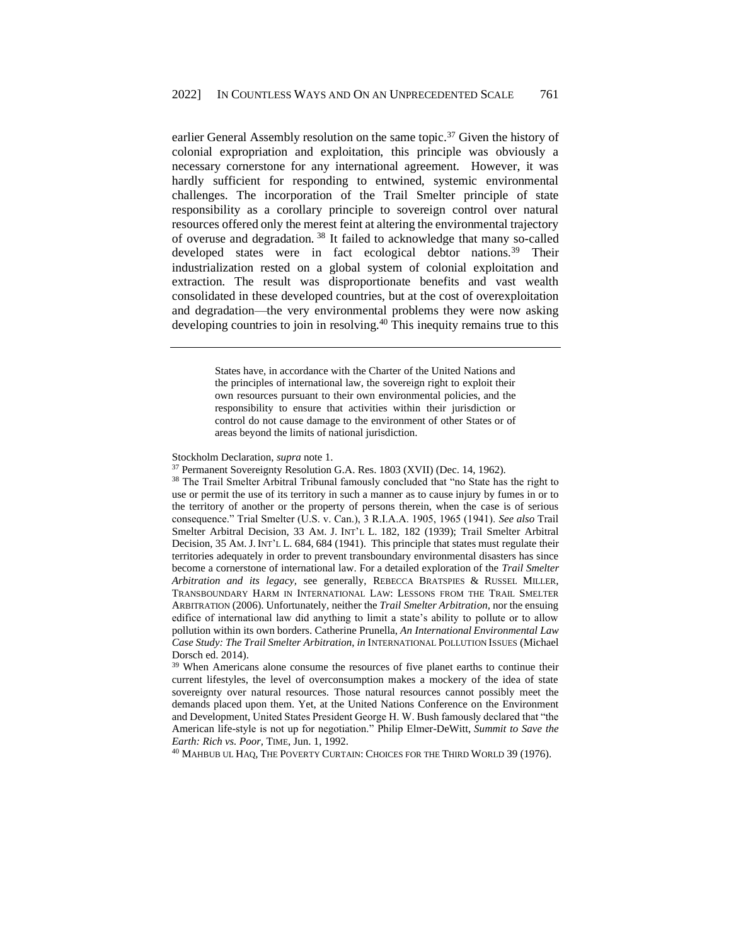earlier General Assembly resolution on the same topic.<sup>37</sup> Given the history of colonial expropriation and exploitation, this principle was obviously a necessary cornerstone for any international agreement. However, it was hardly sufficient for responding to entwined, systemic environmental challenges. The incorporation of the Trail Smelter principle of state responsibility as a corollary principle to sovereign control over natural resources offered only the merest feint at altering the environmental trajectory of overuse and degradation. <sup>38</sup> It failed to acknowledge that many so-called developed states were in fact ecological debtor nations.<sup>39</sup> Their industrialization rested on a global system of colonial exploitation and extraction. The result was disproportionate benefits and vast wealth consolidated in these developed countries, but at the cost of overexploitation and degradation—the very environmental problems they were now asking developing countries to join in resolving.<sup>40</sup> This inequity remains true to this

> States have, in accordance with the Charter of the United Nations and the principles of international law, the sovereign right to exploit their own resources pursuant to their own environmental policies, and the responsibility to ensure that activities within their jurisdiction or control do not cause damage to the environment of other States or of areas beyond the limits of national jurisdiction.

<sup>38</sup> The Trail Smelter Arbitral Tribunal famously concluded that "no State has the right to use or permit the use of its territory in such a manner as to cause injury by fumes in or to the territory of another or the property of persons therein, when the case is of serious consequence." Trial Smelter (U.S. v. Can.), 3 R.I.A.A. 1905, 1965 (1941). *See also* Trail Smelter Arbitral Decision, 33 AM. J. INT'L L. 182, 182 (1939); Trail Smelter Arbitral Decision, 35 AM. J. INT'L L. 684, 684 (1941). This principle that states must regulate their territories adequately in order to prevent transboundary environmental disasters has since become a cornerstone of international law. For a detailed exploration of the *Trail Smelter Arbitration and its legacy,* see generally, REBECCA BRATSPIES & RUSSEL MILLER, TRANSBOUNDARY HARM IN INTERNATIONAL LAW: LESSONS FROM THE TRAIL SMELTER ARBITRATION (2006). Unfortunately, neither the *Trail Smelter Arbitration,* nor the ensuing edifice of international law did anything to limit a state's ability to pollute or to allow pollution within its own borders. Catherine Prunella, *An International Environmental Law Case Study: The Trail Smelter Arbitration*, *in* INTERNATIONAL POLLUTION ISSUES (Michael Dorsch ed. 2014).

<sup>39</sup> When Americans alone consume the resources of five planet earths to continue their current lifestyles, the level of overconsumption makes a mockery of the idea of state sovereignty over natural resources. Those natural resources cannot possibly meet the demands placed upon them. Yet, at the United Nations Conference on the Environment and Development, United States President George H. W. Bush famously declared that "the American life-style is not up for negotiation." Philip Elmer-DeWitt, *Summit to Save the Earth: Rich vs. Poor,* TIME, Jun. 1, 1992.

<sup>40</sup> MAHBUB UL HAQ, THE POVERTY CURTAIN: CHOICES FOR THE THIRD WORLD 39 (1976).

Stockholm Declaration, *supra* not[e 1.](#page-1-0)

<sup>37</sup> Permanent Sovereignty Resolution G.A. Res. 1803 (XVII) (Dec. 14, 1962).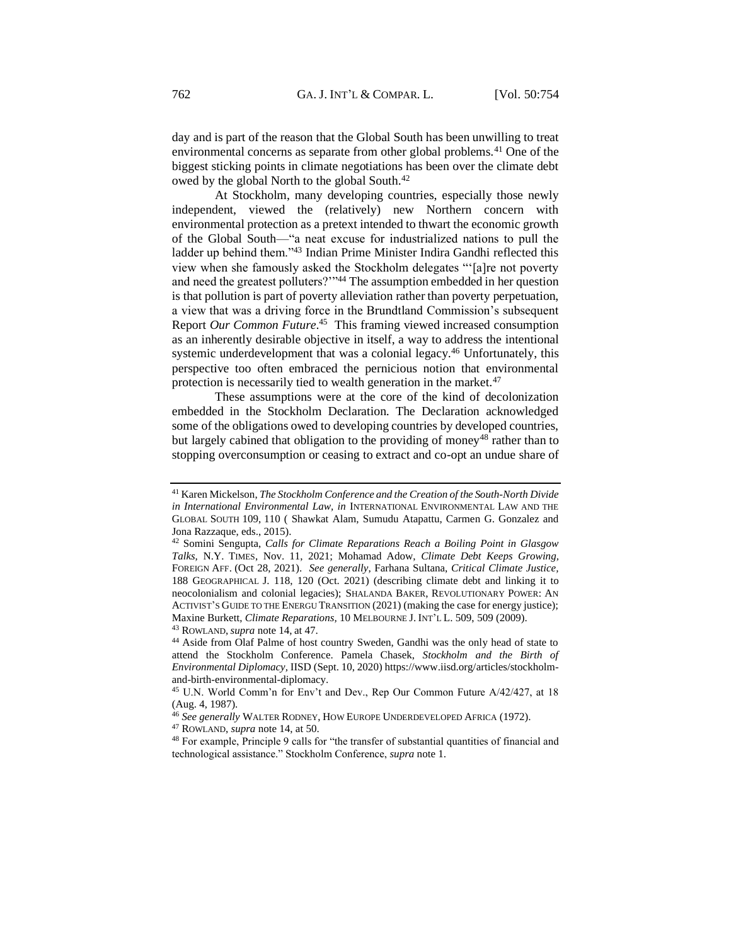day and is part of the reason that the Global South has been unwilling to treat environmental concerns as separate from other global problems.<sup>41</sup> One of the biggest sticking points in climate negotiations has been over the climate debt owed by the global North to the global South.<sup>42</sup>

At Stockholm, many developing countries, especially those newly independent, viewed the (relatively) new Northern concern with environmental protection as a pretext intended to thwart the economic growth of the Global South—"a neat excuse for industrialized nations to pull the ladder up behind them."<sup>43</sup> Indian Prime Minister Indira Gandhi reflected this view when she famously asked the Stockholm delegates "'[a]re not poverty and need the greatest polluters?"<sup>44</sup> The assumption embedded in her question is that pollution is part of poverty alleviation rather than poverty perpetuation, a view that was a driving force in the Brundtland Commission's subsequent Report *Our Common Future*. 45 This framing viewed increased consumption as an inherently desirable objective in itself, a way to address the intentional systemic underdevelopment that was a colonial legacy.<sup>46</sup> Unfortunately, this perspective too often embraced the pernicious notion that environmental protection is necessarily tied to wealth generation in the market.<sup>47</sup>

These assumptions were at the core of the kind of decolonization embedded in the Stockholm Declaration. The Declaration acknowledged some of the obligations owed to developing countries by developed countries, but largely cabined that obligation to the providing of money<sup>48</sup> rather than to stopping overconsumption or ceasing to extract and co-opt an undue share of

<sup>47</sup> ROWLAND, *supra* note 14, at 50.

<sup>41</sup> Karen Mickelson, *The Stockholm Conference and the Creation of the South-North Divide in International Environmental Law, in* INTERNATIONAL ENVIRONMENTAL LAW AND THE GLOBAL SOUTH 109, 110 ( Shawkat Alam, Sumudu Atapattu, Carmen G. Gonzalez and Jona Razzaque, eds., 2015).

<sup>42</sup> Somini Sengupta, *Calls for Climate Reparations Reach a Boiling Point in Glasgow Talks,* N.Y. TIMES, Nov. 11, 2021; Mohamad Adow, *Climate Debt Keeps Growing,*  FOREIGN AFF. (Oct 28, 2021). *See generally*, Farhana Sultana, *Critical Climate Justice,*  188 GEOGRAPHICAL J. 118, 120 (Oct. 2021) (describing climate debt and linking it to neocolonialism and colonial legacies); SHALANDA BAKER, REVOLUTIONARY POWER: AN ACTIVIST'S GUIDE TO THE ENERGU TRANSITION (2021) (making the case for energy justice); Maxine Burkett, *Climate Reparations,* 10 MELBOURNE J. INT'L L. 509, 509 (2009). <sup>43</sup> ROWLAND,*supra* note 14, at 47.

<sup>44</sup> Aside from Olaf Palme of host country Sweden, Gandhi was the only head of state to attend the Stockholm Conference. Pamela Chasek, *Stockholm and the Birth of Environmental Diplomacy,* IISD (Sept. 10, 2020) https://www.iisd.org/articles/stockholmand-birth-environmental-diplomacy.

<sup>45</sup> U.N. World Comm'n for Env't and Dev., Rep Our Common Future A/42/427, at 18 (Aug. 4, 1987).

<sup>46</sup> *See generally* WALTER RODNEY, HOW EUROPE UNDERDEVELOPED AFRICA (1972).

<sup>48</sup> For example, Principle 9 calls for "the transfer of substantial quantities of financial and technological assistance." Stockholm Conference, *supra* note 1.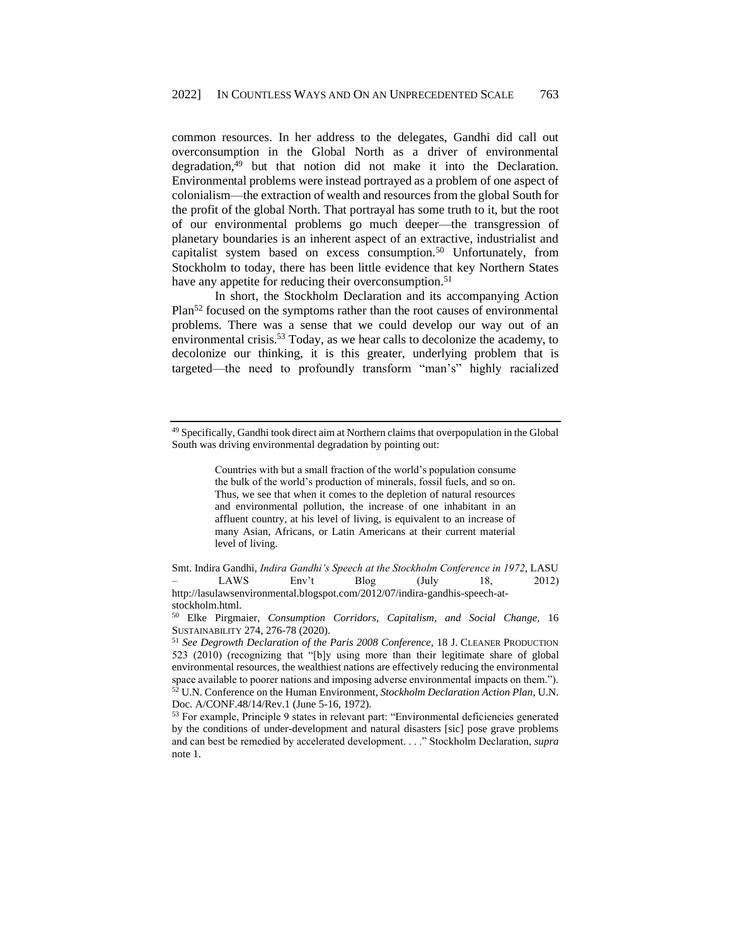common resources. In her address to the delegates, Gandhi did call out overconsumption in the Global North as a driver of environmental degradation, $49$  but that notion did not make it into the Declaration. Environmental problems were instead portrayed as a problem of one aspect of colonialism—the extraction of wealth and resources from the global South for the profit of the global North. That portrayal has some truth to it, but the root of our environmental problems go much deeper—the transgression of planetary boundaries is an inherent aspect of an extractive, industrialist and capitalist system based on excess consumption.<sup>50</sup> Unfortunately, from Stockholm to today, there has been little evidence that key Northern States have any appetite for reducing their overconsumption.<sup>51</sup>

In short, the Stockholm Declaration and its accompanying Action Plan<sup>52</sup> focused on the symptoms rather than the root causes of environmental problems. There was a sense that we could develop our way out of an environmental crisis.<sup>53</sup> Today, as we hear calls to decolonize the academy, to decolonize our thinking, it is this greater, underlying problem that is targeted—the need to profoundly transform "man's" highly racialized

Countries with but a small fraction of the world's population consume the bulk of the world's production of minerals, fossil fuels, and so on. Thus, we see that when it comes to the depletion of natural resources and environmental pollution, the increase of one inhabitant in an affluent country, at his level of living, is equivalent to an increase of many Asian, Africans, or Latin Americans at their current material level of living.

Smt. Indira Gandhi, *Indira Gandhi's Speech at the Stockholm Conference in 1972*, LASU – LAWS Env't Blog (July 18, 2012) http://lasulawsenvironmental.blogspot.com/2012/07/indira-gandhis-speech-atstockholm.html.

<sup>49</sup> Specifically, Gandhi took direct aim at Northern claims that overpopulation in the Global South was driving environmental degradation by pointing out:

<sup>50</sup> Elke Pirgmaier, *Consumption Corridors, Capitalism, and Social Change,* 16 SUSTAINABILITY 274, 276-78 (2020).

<sup>51</sup> *See Degrowth Declaration of the Paris 2008 Conference*, 18 J. CLEANER PRODUCTION 523 (2010) (recognizing that "[b]y using more than their legitimate share of global environmental resources, the wealthiest nations are effectively reducing the environmental space available to poorer nations and imposing adverse environmental impacts on them."). <sup>52</sup> U.N. Conference on the Human Environment, *Stockholm Declaration Action Plan*, U.N. Doc. A/CONF.48/14/Rev.1 (June 5-16, 1972).

<sup>53</sup> For example, Principle 9 states in relevant part: "Environmental deficiencies generated by the conditions of under-development and natural disasters [sic] pose grave problems and can best be remedied by accelerated development. . . ." Stockholm Declaration, *supra*  note 1.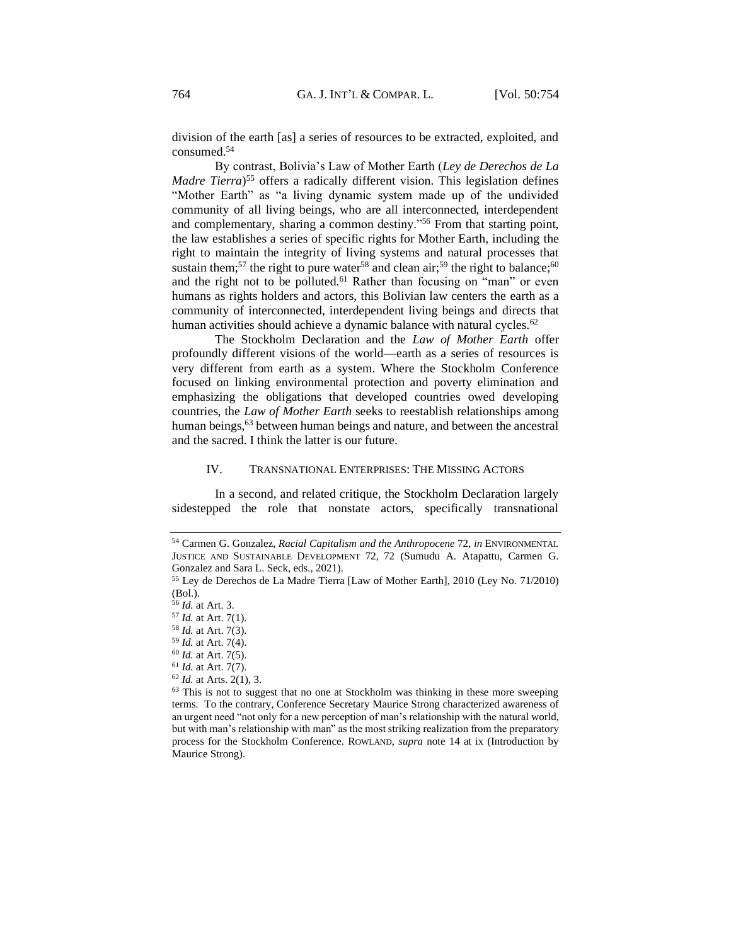division of the earth [as] a series of resources to be extracted, exploited, and consumed.<sup>54</sup>

By contrast, Bolivia's Law of Mother Earth (*Ley de Derechos de La Madre Tierra*) <sup>55</sup> offers a radically different vision. This legislation defines "Mother Earth" as "a living dynamic system made up of the undivided community of all living beings, who are all interconnected, interdependent and complementary, sharing a common destiny."<sup>56</sup> From that starting point, the law establishes a series of specific rights for Mother Earth, including the right to maintain the integrity of living systems and natural processes that sustain them;<sup>57</sup> the right to pure water<sup>58</sup> and clean air;<sup>59</sup> the right to balance;<sup>60</sup> and the right not to be polluted.<sup>61</sup> Rather than focusing on "man" or even humans as rights holders and actors, this Bolivian law centers the earth as a community of interconnected, interdependent living beings and directs that human activities should achieve a dynamic balance with natural cycles.<sup>62</sup>

The Stockholm Declaration and the *Law of Mother Earth* offer profoundly different visions of the world—earth as a series of resources is very different from earth as a system. Where the Stockholm Conference focused on linking environmental protection and poverty elimination and emphasizing the obligations that developed countries owed developing countries, the *Law of Mother Earth* seeks to reestablish relationships among human beings,<sup>63</sup> between human beings and nature, and between the ancestral and the sacred. I think the latter is our future.

#### IV. TRANSNATIONAL ENTERPRISES: THE MISSING ACTORS

<span id="page-10-0"></span>In a second, and related critique, the Stockholm Declaration largely sidestepped the role that nonstate actors, specifically transnational

<sup>62</sup> *Id.* at Arts. 2(1), 3.

<sup>54</sup> Carmen G. Gonzalez, *Racial Capitalism and the Anthropocene* 72, *in* ENVIRONMENTAL JUSTICE AND SUSTAINABLE DEVELOPMENT 72, 72 (Sumudu A. Atapattu, Carmen G. Gonzalez and Sara L. Seck, eds., 2021).

<sup>55</sup> Ley de Derechos de La Madre Tierra [Law of Mother Earth], 2010 (Ley No. 71/2010) (Bol.).

<sup>56</sup> *Id.* at Art. 3.

<sup>57</sup> *Id.* at Art. 7(1).

<sup>58</sup> *Id.* at Art. 7(3).

<sup>59</sup> *Id.* at Art. 7(4).

<sup>60</sup> *Id.* at Art. 7(5).

<sup>61</sup> *Id.* at Art. 7(7).

<sup>&</sup>lt;sup>63</sup> This is not to suggest that no one at Stockholm was thinking in these more sweeping terms. To the contrary, Conference Secretary Maurice Strong characterized awareness of an urgent need "not only for a new perception of man's relationship with the natural world, but with man's relationship with man" as the most striking realization from the preparatory process for the Stockholm Conference. ROWLAND, *supra* note 14 at ix (Introduction by Maurice Strong).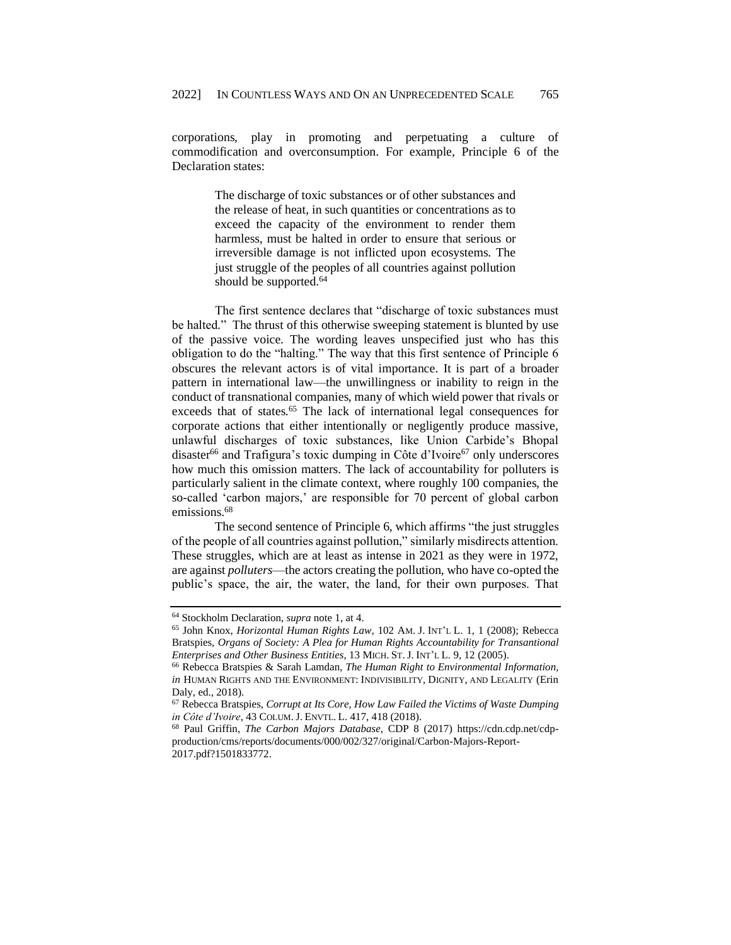corporations, play in promoting and perpetuating a culture of commodification and overconsumption. For example, Principle 6 of the Declaration states:

> The discharge of toxic substances or of other substances and the release of heat, in such quantities or concentrations as to exceed the capacity of the environment to render them harmless, must be halted in order to ensure that serious or irreversible damage is not inflicted upon ecosystems. The just struggle of the peoples of all countries against pollution should be supported.<sup>64</sup>

The first sentence declares that "discharge of toxic substances must be halted." The thrust of this otherwise sweeping statement is blunted by use of the passive voice. The wording leaves unspecified just who has this obligation to do the "halting." The way that this first sentence of Principle 6 obscures the relevant actors is of vital importance. It is part of a broader pattern in international law—the unwillingness or inability to reign in the conduct of transnational companies, many of which wield power that rivals or exceeds that of states.<sup>65</sup> The lack of international legal consequences for corporate actions that either intentionally or negligently produce massive, unlawful discharges of toxic substances, like Union Carbide's Bhopal disaster<sup>66</sup> and Trafigura's toxic dumping in Côte d'Ivoire<sup>67</sup> only underscores how much this omission matters. The lack of accountability for polluters is particularly salient in the climate context, where roughly 100 companies, the so-called 'carbon majors,' are responsible for 70 percent of global carbon emissions.<sup>68</sup>

The second sentence of Principle 6, which affirms "the just struggles of the people of all countries against pollution," similarly misdirects attention. These struggles, which are at least as intense in 2021 as they were in 1972, are against *polluters*—the actors creating the pollution, who have co-opted the public's space, the air, the water, the land, for their own purposes. That

<sup>64</sup> Stockholm Declaration, *supra* not[e 1,](#page-1-0) at 4.

<sup>65</sup> John Knox, *Horizontal Human Rights Law,* 102 AM. J. INT'L L. 1, 1 (2008); Rebecca Bratspies, *Organs of Society: A Plea for Human Rights Accountability for Transantional Enterprises and Other Business Entities,* 13 MICH. ST.J. INT'L L. 9, 12 (2005).

<sup>66</sup> Rebecca Bratspies & Sarah Lamdan, *The Human Right to Environmental Information, in* HUMAN RIGHTS AND THE ENVIRONMENT: INDIVISIBILITY, DIGNITY, AND LEGALITY (Erin Daly, ed., 2018).

<sup>67</sup> Rebecca Bratspies, *Corrupt at Its Core, How Law Failed the Victims of Waste Dumping in Côte d'Ivoire*, 43 COLUM.J. ENVTL. L. 417, 418 (2018).

<sup>68</sup> Paul Griffin, *The Carbon Majors Database*, CDP 8 (2017) https://cdn.cdp.net/cdpproduction/cms/reports/documents/000/002/327/original/Carbon-Majors-Report-2017.pdf?1501833772.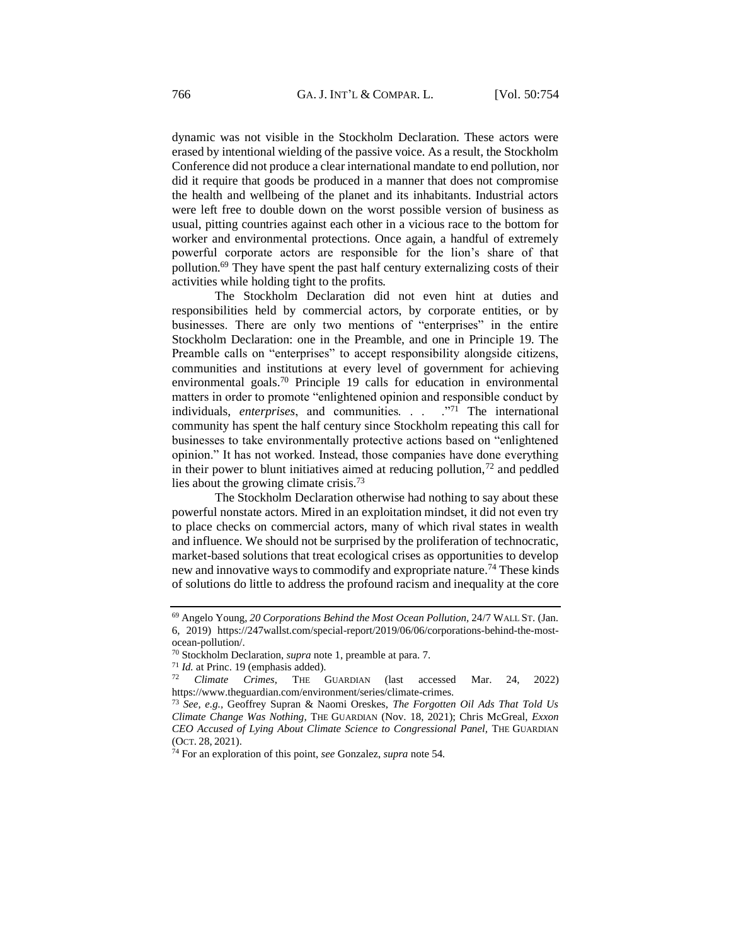dynamic was not visible in the Stockholm Declaration. These actors were erased by intentional wielding of the passive voice. As a result, the Stockholm Conference did not produce a clear international mandate to end pollution, nor did it require that goods be produced in a manner that does not compromise the health and wellbeing of the planet and its inhabitants. Industrial actors were left free to double down on the worst possible version of business as usual, pitting countries against each other in a vicious race to the bottom for worker and environmental protections. Once again, a handful of extremely powerful corporate actors are responsible for the lion's share of that pollution.<sup>69</sup> They have spent the past half century externalizing costs of their activities while holding tight to the profits.

The Stockholm Declaration did not even hint at duties and responsibilities held by commercial actors, by corporate entities, or by businesses. There are only two mentions of "enterprises" in the entire Stockholm Declaration: one in the Preamble, and one in Principle 19. The Preamble calls on "enterprises" to accept responsibility alongside citizens, communities and institutions at every level of government for achieving environmental goals.<sup>70</sup> Principle 19 calls for education in environmental matters in order to promote "enlightened opinion and responsible conduct by individuals, *enterprises*, and communities. . . . . "<sup>71</sup> The international community has spent the half century since Stockholm repeating this call for businesses to take environmentally protective actions based on "enlightened opinion." It has not worked. Instead, those companies have done everything in their power to blunt initiatives aimed at reducing pollution, $<sup>72</sup>$  and peddled</sup> lies about the growing climate crisis.<sup>73</sup>

The Stockholm Declaration otherwise had nothing to say about these powerful nonstate actors. Mired in an exploitation mindset, it did not even try to place checks on commercial actors, many of which rival states in wealth and influence. We should not be surprised by the proliferation of technocratic, market-based solutions that treat ecological crises as opportunities to develop new and innovative ways to commodify and expropriate nature.<sup>74</sup> These kinds of solutions do little to address the profound racism and inequality at the core

<sup>69</sup> Angelo Young, *20 Corporations Behind the Most Ocean Pollution,* 24/7 WALL ST. (Jan. 6, 2019) https://247wallst.com/special-report/2019/06/06/corporations-behind-the-mostocean-pollution/.

<sup>70</sup> Stockholm Declaration, *supra* not[e 1,](#page-1-0) preamble at para. 7.

 $^{71}$  *Id.* at Princ. 19 (emphasis added).<br> $^{72}$  Climate Crimes TIE

<sup>72</sup> *Climate Crimes*, THE GUARDIAN (last accessed Mar. 24, 2022) https://www.theguardian.com/environment/series/climate-crimes.

<sup>73</sup> *See, e.g.,* Geoffrey Supran & Naomi Oreskes, *The Forgotten Oil Ads That Told Us Climate Change Was Nothing,* THE GUARDIAN (Nov. 18, 2021); Chris McGreal, *Exxon CEO Accused of Lying About Climate Science to Congressional Panel,* THE GUARDIAN (OCT. 28, 2021).

<sup>74</sup> For an exploration of this point, *see* Gonzalez, *supra* note 54*.*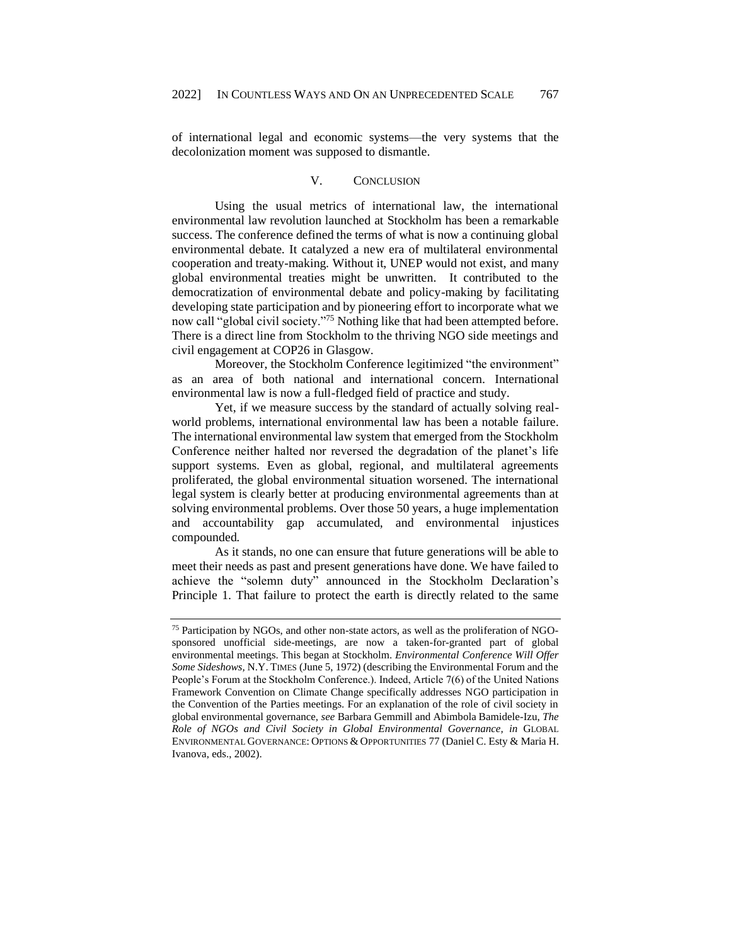of international legal and economic systems—the very systems that the decolonization moment was supposed to dismantle.

## V. CONCLUSION

<span id="page-13-0"></span>Using the usual metrics of international law, the international environmental law revolution launched at Stockholm has been a remarkable success. The conference defined the terms of what is now a continuing global environmental debate. It catalyzed a new era of multilateral environmental cooperation and treaty-making. Without it, UNEP would not exist, and many global environmental treaties might be unwritten. It contributed to the democratization of environmental debate and policy-making by facilitating developing state participation and by pioneering effort to incorporate what we now call "global civil society."<sup>75</sup> Nothing like that had been attempted before. There is a direct line from Stockholm to the thriving NGO side meetings and civil engagement at COP26 in Glasgow.

Moreover, the Stockholm Conference legitimized "the environment" as an area of both national and international concern. International environmental law is now a full-fledged field of practice and study.

Yet, if we measure success by the standard of actually solving realworld problems, international environmental law has been a notable failure. The international environmental law system that emerged from the Stockholm Conference neither halted nor reversed the degradation of the planet's life support systems. Even as global, regional, and multilateral agreements proliferated, the global environmental situation worsened. The international legal system is clearly better at producing environmental agreements than at solving environmental problems. Over those 50 years, a huge implementation and accountability gap accumulated, and environmental injustices compounded.

As it stands, no one can ensure that future generations will be able to meet their needs as past and present generations have done. We have failed to achieve the "solemn duty" announced in the Stockholm Declaration's Principle 1. That failure to protect the earth is directly related to the same

<sup>75</sup> Participation by NGOs, and other non-state actors, as well as the proliferation of NGOsponsored unofficial side-meetings, are now a taken-for-granted part of global environmental meetings. This began at Stockholm. *Environmental Conference Will Offer Some Sideshows,* N.Y. TIMES (June 5, 1972) (describing the Environmental Forum and the People's Forum at the Stockholm Conference.). Indeed, Article 7(6) of the United Nations Framework Convention on Climate Change specifically addresses NGO participation in the Convention of the Parties meetings. For an explanation of the role of civil society in global environmental governance, *see* Barbara Gemmill and Abimbola Bamidele-Izu, *The Role of NGOs and Civil Society in Global Environmental Governance, in* GLOBAL ENVIRONMENTAL GOVERNANCE: OPTIONS & OPPORTUNITIES 77 (Daniel C. Esty & Maria H. Ivanova, eds., 2002).